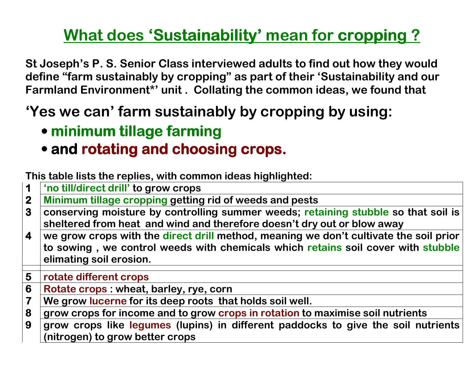## <u>What does 'Sustainability' mean for cropping ?</u>

St Joseph's P. S. Senior Class interviewed adults to find out how they would define "farm sustainably by cropping" as part of their 'Sustainability and our Farmland Environment\*' unit . Collating the common ideas, we found that

## 'Yes we can' farm sustainably by cropping by using:

- minimum tillage farming
- and rotating and choosing crops.

This table lists the replies, with common ideas highlighted:

- 1'no till/direct drill' to grow crops
- 22 Minimum tillage cropping getting rid of weeds and pests<br>3 Conserving moisture by controlling summer weeds: reta
- 3 conserving moisture by controlling summer weeds; retaining stubble so that soil is sheltered from heat and wind and therefore doesn't dry out or blow away
- 4 we grow crops with the direct drill method, meaning we don't cultivate the soil prior to sowing, we control weeds with chemicals which retains soil cover with stubble elimating soil erosion.
- 5rotate different crops
- 66 **Rotate crops : wheat, barley, rye, corn**<br>T We grow lucerne for its deep roots tha
- We grow lucerne for its deep roots that holds soil well.
- 8 grow crops for income and to grow crops in rotation to maximise soil nutrients
- 9 grow crops like legumes (lupins) in different paddocks to give the soil nutrients (nitrogen) to grow better crops